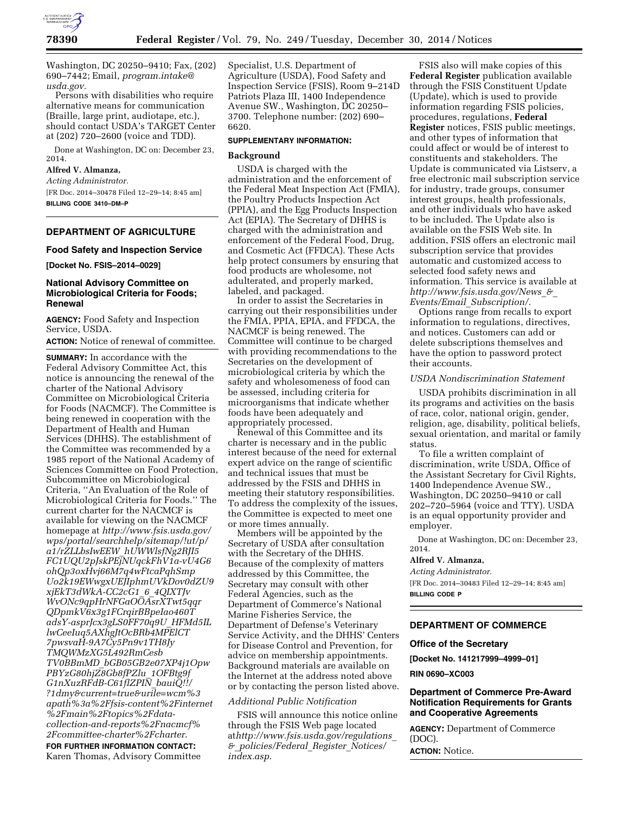

Washington, DC 20250–9410; Fax, (202) 690–7442; Email, *[program.intake@](mailto:program.intake@usda.gov) [usda.gov.](mailto:program.intake@usda.gov)* 

Persons with disabilities who require alternative means for communication (Braille, large print, audiotape, etc.), should contact USDA's TARGET Center at (202) 720–2600 (voice and TDD).

Done at Washington, DC on: December 23, 2014.

### **Alfred V. Almanza,**

*Acting Administrator.* 

[FR Doc. 2014–30478 Filed 12–29–14; 8:45 am] **BILLING CODE 3410–DM–P** 

# **DEPARTMENT OF AGRICULTURE**

#### **Food Safety and Inspection Service**

**[Docket No. FSIS–2014–0029]** 

### **National Advisory Committee on Microbiological Criteria for Foods; Renewal**

**AGENCY:** Food Safety and Inspection Service, USDA.

**ACTION:** Notice of renewal of committee.

**SUMMARY:** In accordance with the Federal Advisory Committee Act, this notice is announcing the renewal of the charter of the National Advisory Committee on Microbiological Criteria for Foods (NACMCF). The Committee is being renewed in cooperation with the Department of Health and Human Services (DHHS). The establishment of the Committee was recommended by a 1985 report of the National Academy of Sciences Committee on Food Protection, Subcommittee on Microbiological Criteria, ''An Evaluation of the Role of Microbiological Criteria for Foods.'' The current charter for the NACMCF is available for viewing on the NACMCF homepage at *[http://www.fsis.usda.gov/](http://www.fsis.usda.gov/wps/portal/searchhelp/sitemap/!ut/p/a1/rZLLbsIwEEW_hUWWlsfNg2RJI5FC1UQU2pJskPEjNUqckFhV1a-vU4G6ohQp3oxHvj66M7q4wFtcaPqhSmpUo2k19EWwgxUEJIphmUVkDov0dZU9xjEkT3dWkA-CC2cG1_6_4QIXTJvWvONc9qpHrNFGaOOAsrXTwt5qqrQDpmkV6x3g1FCrqirBBpeIao460TadsY-asprJcx3gLS0FF70q9U_HFMd5ILlwCeeIuq5AXhgJtOcBRb4MPElCT7pwsvaH-9A7Cy5Pn9v1TH8JyTMQWMzXG5L492RmCesbTV0BBmMD_bGB05GB2e07XP4j1OpwPBYzG80hjZ8Gb8fPZlu_1OFBtg9fG1nXuzRFdB-C61flZPIN_bauiQ!!/?1dmy¤t=true&urile=wcm%3apath%3a%2Ffsis-content%2Finternet%2Fmain%2Ftopics%2Fdata-collection-and-reports%2Fnacmcf%2Fcommittee-charter%2Fcharter) [wps/portal/searchhelp/sitemap/!ut/p/](http://www.fsis.usda.gov/wps/portal/searchhelp/sitemap/!ut/p/a1/rZLLbsIwEEW_hUWWlsfNg2RJI5FC1UQU2pJskPEjNUqckFhV1a-vU4G6ohQp3oxHvj66M7q4wFtcaPqhSmpUo2k19EWwgxUEJIphmUVkDov0dZU9xjEkT3dWkA-CC2cG1_6_4QIXTJvWvONc9qpHrNFGaOOAsrXTwt5qqrQDpmkV6x3g1FCrqirBBpeIao460TadsY-asprJcx3gLS0FF70q9U_HFMd5ILlwCeeIuq5AXhgJtOcBRb4MPElCT7pwsvaH-9A7Cy5Pn9v1TH8JyTMQWMzXG5L492RmCesbTV0BBmMD_bGB05GB2e07XP4j1OpwPBYzG80hjZ8Gb8fPZlu_1OFBtg9fG1nXuzRFdB-C61flZPIN_bauiQ!!/?1dmy¤t=true&urile=wcm%3apath%3a%2Ffsis-content%2Finternet%2Fmain%2Ftopics%2Fdata-collection-and-reports%2Fnacmcf%2Fcommittee-charter%2Fcharter) a1/rZLLbsIwEEW*\_*[hUWWlsfNg2RJI5](http://www.fsis.usda.gov/wps/portal/searchhelp/sitemap/!ut/p/a1/rZLLbsIwEEW_hUWWlsfNg2RJI5FC1UQU2pJskPEjNUqckFhV1a-vU4G6ohQp3oxHvj66M7q4wFtcaPqhSmpUo2k19EWwgxUEJIphmUVkDov0dZU9xjEkT3dWkA-CC2cG1_6_4QIXTJvWvONc9qpHrNFGaOOAsrXTwt5qqrQDpmkV6x3g1FCrqirBBpeIao460TadsY-asprJcx3gLS0FF70q9U_HFMd5ILlwCeeIuq5AXhgJtOcBRb4MPElCT7pwsvaH-9A7Cy5Pn9v1TH8JyTMQWMzXG5L492RmCesbTV0BBmMD_bGB05GB2e07XP4j1OpwPBYzG80hjZ8Gb8fPZlu_1OFBtg9fG1nXuzRFdB-C61flZPIN_bauiQ!!/?1dmy¤t=true&urile=wcm%3apath%3a%2Ffsis-content%2Finternet%2Fmain%2Ftopics%2Fdata-collection-and-reports%2Fnacmcf%2Fcommittee-charter%2Fcharter) [FC1UQU2pJskPEjNUqckFhV1a-vU4G6](http://www.fsis.usda.gov/wps/portal/searchhelp/sitemap/!ut/p/a1/rZLLbsIwEEW_hUWWlsfNg2RJI5FC1UQU2pJskPEjNUqckFhV1a-vU4G6ohQp3oxHvj66M7q4wFtcaPqhSmpUo2k19EWwgxUEJIphmUVkDov0dZU9xjEkT3dWkA-CC2cG1_6_4QIXTJvWvONc9qpHrNFGaOOAsrXTwt5qqrQDpmkV6x3g1FCrqirBBpeIao460TadsY-asprJcx3gLS0FF70q9U_HFMd5ILlwCeeIuq5AXhgJtOcBRb4MPElCT7pwsvaH-9A7Cy5Pn9v1TH8JyTMQWMzXG5L492RmCesbTV0BBmMD_bGB05GB2e07XP4j1OpwPBYzG80hjZ8Gb8fPZlu_1OFBtg9fG1nXuzRFdB-C61flZPIN_bauiQ!!/?1dmy¤t=true&urile=wcm%3apath%3a%2Ffsis-content%2Finternet%2Fmain%2Ftopics%2Fdata-collection-and-reports%2Fnacmcf%2Fcommittee-charter%2Fcharter) [ohQp3oxHvj66M7q4wFtcaPqhSmp](http://www.fsis.usda.gov/wps/portal/searchhelp/sitemap/!ut/p/a1/rZLLbsIwEEW_hUWWlsfNg2RJI5FC1UQU2pJskPEjNUqckFhV1a-vU4G6ohQp3oxHvj66M7q4wFtcaPqhSmpUo2k19EWwgxUEJIphmUVkDov0dZU9xjEkT3dWkA-CC2cG1_6_4QIXTJvWvONc9qpHrNFGaOOAsrXTwt5qqrQDpmkV6x3g1FCrqirBBpeIao460TadsY-asprJcx3gLS0FF70q9U_HFMd5ILlwCeeIuq5AXhgJtOcBRb4MPElCT7pwsvaH-9A7Cy5Pn9v1TH8JyTMQWMzXG5L492RmCesbTV0BBmMD_bGB05GB2e07XP4j1OpwPBYzG80hjZ8Gb8fPZlu_1OFBtg9fG1nXuzRFdB-C61flZPIN_bauiQ!!/?1dmy¤t=true&urile=wcm%3apath%3a%2Ffsis-content%2Finternet%2Fmain%2Ftopics%2Fdata-collection-and-reports%2Fnacmcf%2Fcommittee-charter%2Fcharter) [Uo2k19EWwgxUEJIphmUVkDov0dZU9](http://www.fsis.usda.gov/wps/portal/searchhelp/sitemap/!ut/p/a1/rZLLbsIwEEW_hUWWlsfNg2RJI5FC1UQU2pJskPEjNUqckFhV1a-vU4G6ohQp3oxHvj66M7q4wFtcaPqhSmpUo2k19EWwgxUEJIphmUVkDov0dZU9xjEkT3dWkA-CC2cG1_6_4QIXTJvWvONc9qpHrNFGaOOAsrXTwt5qqrQDpmkV6x3g1FCrqirBBpeIao460TadsY-asprJcx3gLS0FF70q9U_HFMd5ILlwCeeIuq5AXhgJtOcBRb4MPElCT7pwsvaH-9A7Cy5Pn9v1TH8JyTMQWMzXG5L492RmCesbTV0BBmMD_bGB05GB2e07XP4j1OpwPBYzG80hjZ8Gb8fPZlu_1OFBtg9fG1nXuzRFdB-C61flZPIN_bauiQ!!/?1dmy¤t=true&urile=wcm%3apath%3a%2Ffsis-content%2Finternet%2Fmain%2Ftopics%2Fdata-collection-and-reports%2Fnacmcf%2Fcommittee-charter%2Fcharter) [xjEkT3dWkA-CC2cG1](http://www.fsis.usda.gov/wps/portal/searchhelp/sitemap/!ut/p/a1/rZLLbsIwEEW_hUWWlsfNg2RJI5FC1UQU2pJskPEjNUqckFhV1a-vU4G6ohQp3oxHvj66M7q4wFtcaPqhSmpUo2k19EWwgxUEJIphmUVkDov0dZU9xjEkT3dWkA-CC2cG1_6_4QIXTJvWvONc9qpHrNFGaOOAsrXTwt5qqrQDpmkV6x3g1FCrqirBBpeIao460TadsY-asprJcx3gLS0FF70q9U_HFMd5ILlwCeeIuq5AXhgJtOcBRb4MPElCT7pwsvaH-9A7Cy5Pn9v1TH8JyTMQWMzXG5L492RmCesbTV0BBmMD_bGB05GB2e07XP4j1OpwPBYzG80hjZ8Gb8fPZlu_1OFBtg9fG1nXuzRFdB-C61flZPIN_bauiQ!!/?1dmy¤t=true&urile=wcm%3apath%3a%2Ffsis-content%2Finternet%2Fmain%2Ftopics%2Fdata-collection-and-reports%2Fnacmcf%2Fcommittee-charter%2Fcharter)*\_*6*\_*4QIXTJv [WvONc9qpHrNFGaOOAsrXTwt5qqr](http://www.fsis.usda.gov/wps/portal/searchhelp/sitemap/!ut/p/a1/rZLLbsIwEEW_hUWWlsfNg2RJI5FC1UQU2pJskPEjNUqckFhV1a-vU4G6ohQp3oxHvj66M7q4wFtcaPqhSmpUo2k19EWwgxUEJIphmUVkDov0dZU9xjEkT3dWkA-CC2cG1_6_4QIXTJvWvONc9qpHrNFGaOOAsrXTwt5qqrQDpmkV6x3g1FCrqirBBpeIao460TadsY-asprJcx3gLS0FF70q9U_HFMd5ILlwCeeIuq5AXhgJtOcBRb4MPElCT7pwsvaH-9A7Cy5Pn9v1TH8JyTMQWMzXG5L492RmCesbTV0BBmMD_bGB05GB2e07XP4j1OpwPBYzG80hjZ8Gb8fPZlu_1OFBtg9fG1nXuzRFdB-C61flZPIN_bauiQ!!/?1dmy¤t=true&urile=wcm%3apath%3a%2Ffsis-content%2Finternet%2Fmain%2Ftopics%2Fdata-collection-and-reports%2Fnacmcf%2Fcommittee-charter%2Fcharter) [QDpmkV6x3g1FCrqirBBpeIao460T](http://www.fsis.usda.gov/wps/portal/searchhelp/sitemap/!ut/p/a1/rZLLbsIwEEW_hUWWlsfNg2RJI5FC1UQU2pJskPEjNUqckFhV1a-vU4G6ohQp3oxHvj66M7q4wFtcaPqhSmpUo2k19EWwgxUEJIphmUVkDov0dZU9xjEkT3dWkA-CC2cG1_6_4QIXTJvWvONc9qpHrNFGaOOAsrXTwt5qqrQDpmkV6x3g1FCrqirBBpeIao460TadsY-asprJcx3gLS0FF70q9U_HFMd5ILlwCeeIuq5AXhgJtOcBRb4MPElCT7pwsvaH-9A7Cy5Pn9v1TH8JyTMQWMzXG5L492RmCesbTV0BBmMD_bGB05GB2e07XP4j1OpwPBYzG80hjZ8Gb8fPZlu_1OFBtg9fG1nXuzRFdB-C61flZPIN_bauiQ!!/?1dmy¤t=true&urile=wcm%3apath%3a%2Ffsis-content%2Finternet%2Fmain%2Ftopics%2Fdata-collection-and-reports%2Fnacmcf%2Fcommittee-charter%2Fcharter) [adsY-asprJcx3gLS0FF70q9U](http://www.fsis.usda.gov/wps/portal/searchhelp/sitemap/!ut/p/a1/rZLLbsIwEEW_hUWWlsfNg2RJI5FC1UQU2pJskPEjNUqckFhV1a-vU4G6ohQp3oxHvj66M7q4wFtcaPqhSmpUo2k19EWwgxUEJIphmUVkDov0dZU9xjEkT3dWkA-CC2cG1_6_4QIXTJvWvONc9qpHrNFGaOOAsrXTwt5qqrQDpmkV6x3g1FCrqirBBpeIao460TadsY-asprJcx3gLS0FF70q9U_HFMd5ILlwCeeIuq5AXhgJtOcBRb4MPElCT7pwsvaH-9A7Cy5Pn9v1TH8JyTMQWMzXG5L492RmCesbTV0BBmMD_bGB05GB2e07XP4j1OpwPBYzG80hjZ8Gb8fPZlu_1OFBtg9fG1nXuzRFdB-C61flZPIN_bauiQ!!/?1dmy¤t=true&urile=wcm%3apath%3a%2Ffsis-content%2Finternet%2Fmain%2Ftopics%2Fdata-collection-and-reports%2Fnacmcf%2Fcommittee-charter%2Fcharter)*\_*HFMd5IL [lwCeeIuq5AXhgJtOcBRb4MPElCT](http://www.fsis.usda.gov/wps/portal/searchhelp/sitemap/!ut/p/a1/rZLLbsIwEEW_hUWWlsfNg2RJI5FC1UQU2pJskPEjNUqckFhV1a-vU4G6ohQp3oxHvj66M7q4wFtcaPqhSmpUo2k19EWwgxUEJIphmUVkDov0dZU9xjEkT3dWkA-CC2cG1_6_4QIXTJvWvONc9qpHrNFGaOOAsrXTwt5qqrQDpmkV6x3g1FCrqirBBpeIao460TadsY-asprJcx3gLS0FF70q9U_HFMd5ILlwCeeIuq5AXhgJtOcBRb4MPElCT7pwsvaH-9A7Cy5Pn9v1TH8JyTMQWMzXG5L492RmCesbTV0BBmMD_bGB05GB2e07XP4j1OpwPBYzG80hjZ8Gb8fPZlu_1OFBtg9fG1nXuzRFdB-C61flZPIN_bauiQ!!/?1dmy¤t=true&urile=wcm%3apath%3a%2Ffsis-content%2Finternet%2Fmain%2Ftopics%2Fdata-collection-and-reports%2Fnacmcf%2Fcommittee-charter%2Fcharter) [7pwsvaH-9A7Cy5Pn9v1TH8Jy](http://www.fsis.usda.gov/wps/portal/searchhelp/sitemap/!ut/p/a1/rZLLbsIwEEW_hUWWlsfNg2RJI5FC1UQU2pJskPEjNUqckFhV1a-vU4G6ohQp3oxHvj66M7q4wFtcaPqhSmpUo2k19EWwgxUEJIphmUVkDov0dZU9xjEkT3dWkA-CC2cG1_6_4QIXTJvWvONc9qpHrNFGaOOAsrXTwt5qqrQDpmkV6x3g1FCrqirBBpeIao460TadsY-asprJcx3gLS0FF70q9U_HFMd5ILlwCeeIuq5AXhgJtOcBRb4MPElCT7pwsvaH-9A7Cy5Pn9v1TH8JyTMQWMzXG5L492RmCesbTV0BBmMD_bGB05GB2e07XP4j1OpwPBYzG80hjZ8Gb8fPZlu_1OFBtg9fG1nXuzRFdB-C61flZPIN_bauiQ!!/?1dmy¤t=true&urile=wcm%3apath%3a%2Ffsis-content%2Finternet%2Fmain%2Ftopics%2Fdata-collection-and-reports%2Fnacmcf%2Fcommittee-charter%2Fcharter) [TMQWMzXG5L492RmCesb](http://www.fsis.usda.gov/wps/portal/searchhelp/sitemap/!ut/p/a1/rZLLbsIwEEW_hUWWlsfNg2RJI5FC1UQU2pJskPEjNUqckFhV1a-vU4G6ohQp3oxHvj66M7q4wFtcaPqhSmpUo2k19EWwgxUEJIphmUVkDov0dZU9xjEkT3dWkA-CC2cG1_6_4QIXTJvWvONc9qpHrNFGaOOAsrXTwt5qqrQDpmkV6x3g1FCrqirBBpeIao460TadsY-asprJcx3gLS0FF70q9U_HFMd5ILlwCeeIuq5AXhgJtOcBRb4MPElCT7pwsvaH-9A7Cy5Pn9v1TH8JyTMQWMzXG5L492RmCesbTV0BBmMD_bGB05GB2e07XP4j1OpwPBYzG80hjZ8Gb8fPZlu_1OFBtg9fG1nXuzRFdB-C61flZPIN_bauiQ!!/?1dmy¤t=true&urile=wcm%3apath%3a%2Ffsis-content%2Finternet%2Fmain%2Ftopics%2Fdata-collection-and-reports%2Fnacmcf%2Fcommittee-charter%2Fcharter) TV0BBmMD*\_*[bGB05GB2e07XP4j1Opw](http://www.fsis.usda.gov/wps/portal/searchhelp/sitemap/!ut/p/a1/rZLLbsIwEEW_hUWWlsfNg2RJI5FC1UQU2pJskPEjNUqckFhV1a-vU4G6ohQp3oxHvj66M7q4wFtcaPqhSmpUo2k19EWwgxUEJIphmUVkDov0dZU9xjEkT3dWkA-CC2cG1_6_4QIXTJvWvONc9qpHrNFGaOOAsrXTwt5qqrQDpmkV6x3g1FCrqirBBpeIao460TadsY-asprJcx3gLS0FF70q9U_HFMd5ILlwCeeIuq5AXhgJtOcBRb4MPElCT7pwsvaH-9A7Cy5Pn9v1TH8JyTMQWMzXG5L492RmCesbTV0BBmMD_bGB05GB2e07XP4j1OpwPBYzG80hjZ8Gb8fPZlu_1OFBtg9fG1nXuzRFdB-C61flZPIN_bauiQ!!/?1dmy¤t=true&urile=wcm%3apath%3a%2Ffsis-content%2Finternet%2Fmain%2Ftopics%2Fdata-collection-and-reports%2Fnacmcf%2Fcommittee-charter%2Fcharter) [PBYzG80hjZ8Gb8fPZlu](http://www.fsis.usda.gov/wps/portal/searchhelp/sitemap/!ut/p/a1/rZLLbsIwEEW_hUWWlsfNg2RJI5FC1UQU2pJskPEjNUqckFhV1a-vU4G6ohQp3oxHvj66M7q4wFtcaPqhSmpUo2k19EWwgxUEJIphmUVkDov0dZU9xjEkT3dWkA-CC2cG1_6_4QIXTJvWvONc9qpHrNFGaOOAsrXTwt5qqrQDpmkV6x3g1FCrqirBBpeIao460TadsY-asprJcx3gLS0FF70q9U_HFMd5ILlwCeeIuq5AXhgJtOcBRb4MPElCT7pwsvaH-9A7Cy5Pn9v1TH8JyTMQWMzXG5L492RmCesbTV0BBmMD_bGB05GB2e07XP4j1OpwPBYzG80hjZ8Gb8fPZlu_1OFBtg9fG1nXuzRFdB-C61flZPIN_bauiQ!!/?1dmy¤t=true&urile=wcm%3apath%3a%2Ffsis-content%2Finternet%2Fmain%2Ftopics%2Fdata-collection-and-reports%2Fnacmcf%2Fcommittee-charter%2Fcharter)*\_*1OFBtg9f [G1nXuzRFdB-C61flZPIN](http://www.fsis.usda.gov/wps/portal/searchhelp/sitemap/!ut/p/a1/rZLLbsIwEEW_hUWWlsfNg2RJI5FC1UQU2pJskPEjNUqckFhV1a-vU4G6ohQp3oxHvj66M7q4wFtcaPqhSmpUo2k19EWwgxUEJIphmUVkDov0dZU9xjEkT3dWkA-CC2cG1_6_4QIXTJvWvONc9qpHrNFGaOOAsrXTwt5qqrQDpmkV6x3g1FCrqirBBpeIao460TadsY-asprJcx3gLS0FF70q9U_HFMd5ILlwCeeIuq5AXhgJtOcBRb4MPElCT7pwsvaH-9A7Cy5Pn9v1TH8JyTMQWMzXG5L492RmCesbTV0BBmMD_bGB05GB2e07XP4j1OpwPBYzG80hjZ8Gb8fPZlu_1OFBtg9fG1nXuzRFdB-C61flZPIN_bauiQ!!/?1dmy¤t=true&urile=wcm%3apath%3a%2Ffsis-content%2Finternet%2Fmain%2Ftopics%2Fdata-collection-and-reports%2Fnacmcf%2Fcommittee-charter%2Fcharter)*\_*bauiQ!!/ [?1dmy&current=true&urile=wcm%3](http://www.fsis.usda.gov/wps/portal/searchhelp/sitemap/!ut/p/a1/rZLLbsIwEEW_hUWWlsfNg2RJI5FC1UQU2pJskPEjNUqckFhV1a-vU4G6ohQp3oxHvj66M7q4wFtcaPqhSmpUo2k19EWwgxUEJIphmUVkDov0dZU9xjEkT3dWkA-CC2cG1_6_4QIXTJvWvONc9qpHrNFGaOOAsrXTwt5qqrQDpmkV6x3g1FCrqirBBpeIao460TadsY-asprJcx3gLS0FF70q9U_HFMd5ILlwCeeIuq5AXhgJtOcBRb4MPElCT7pwsvaH-9A7Cy5Pn9v1TH8JyTMQWMzXG5L492RmCesbTV0BBmMD_bGB05GB2e07XP4j1OpwPBYzG80hjZ8Gb8fPZlu_1OFBtg9fG1nXuzRFdB-C61flZPIN_bauiQ!!/?1dmy¤t=true&urile=wcm%3apath%3a%2Ffsis-content%2Finternet%2Fmain%2Ftopics%2Fdata-collection-and-reports%2Fnacmcf%2Fcommittee-charter%2Fcharter) [apath%3a%2Ffsis-content%2Finternet](http://www.fsis.usda.gov/wps/portal/searchhelp/sitemap/!ut/p/a1/rZLLbsIwEEW_hUWWlsfNg2RJI5FC1UQU2pJskPEjNUqckFhV1a-vU4G6ohQp3oxHvj66M7q4wFtcaPqhSmpUo2k19EWwgxUEJIphmUVkDov0dZU9xjEkT3dWkA-CC2cG1_6_4QIXTJvWvONc9qpHrNFGaOOAsrXTwt5qqrQDpmkV6x3g1FCrqirBBpeIao460TadsY-asprJcx3gLS0FF70q9U_HFMd5ILlwCeeIuq5AXhgJtOcBRb4MPElCT7pwsvaH-9A7Cy5Pn9v1TH8JyTMQWMzXG5L492RmCesbTV0BBmMD_bGB05GB2e07XP4j1OpwPBYzG80hjZ8Gb8fPZlu_1OFBtg9fG1nXuzRFdB-C61flZPIN_bauiQ!!/?1dmy¤t=true&urile=wcm%3apath%3a%2Ffsis-content%2Finternet%2Fmain%2Ftopics%2Fdata-collection-and-reports%2Fnacmcf%2Fcommittee-charter%2Fcharter) [%2Fmain%2Ftopics%2Fdata](http://www.fsis.usda.gov/wps/portal/searchhelp/sitemap/!ut/p/a1/rZLLbsIwEEW_hUWWlsfNg2RJI5FC1UQU2pJskPEjNUqckFhV1a-vU4G6ohQp3oxHvj66M7q4wFtcaPqhSmpUo2k19EWwgxUEJIphmUVkDov0dZU9xjEkT3dWkA-CC2cG1_6_4QIXTJvWvONc9qpHrNFGaOOAsrXTwt5qqrQDpmkV6x3g1FCrqirBBpeIao460TadsY-asprJcx3gLS0FF70q9U_HFMd5ILlwCeeIuq5AXhgJtOcBRb4MPElCT7pwsvaH-9A7Cy5Pn9v1TH8JyTMQWMzXG5L492RmCesbTV0BBmMD_bGB05GB2e07XP4j1OpwPBYzG80hjZ8Gb8fPZlu_1OFBtg9fG1nXuzRFdB-C61flZPIN_bauiQ!!/?1dmy¤t=true&urile=wcm%3apath%3a%2Ffsis-content%2Finternet%2Fmain%2Ftopics%2Fdata-collection-and-reports%2Fnacmcf%2Fcommittee-charter%2Fcharter)[collection-and-reports%2Fnacmcf%](http://www.fsis.usda.gov/wps/portal/searchhelp/sitemap/!ut/p/a1/rZLLbsIwEEW_hUWWlsfNg2RJI5FC1UQU2pJskPEjNUqckFhV1a-vU4G6ohQp3oxHvj66M7q4wFtcaPqhSmpUo2k19EWwgxUEJIphmUVkDov0dZU9xjEkT3dWkA-CC2cG1_6_4QIXTJvWvONc9qpHrNFGaOOAsrXTwt5qqrQDpmkV6x3g1FCrqirBBpeIao460TadsY-asprJcx3gLS0FF70q9U_HFMd5ILlwCeeIuq5AXhgJtOcBRb4MPElCT7pwsvaH-9A7Cy5Pn9v1TH8JyTMQWMzXG5L492RmCesbTV0BBmMD_bGB05GB2e07XP4j1OpwPBYzG80hjZ8Gb8fPZlu_1OFBtg9fG1nXuzRFdB-C61flZPIN_bauiQ!!/?1dmy¤t=true&urile=wcm%3apath%3a%2Ffsis-content%2Finternet%2Fmain%2Ftopics%2Fdata-collection-and-reports%2Fnacmcf%2Fcommittee-charter%2Fcharter) [2Fcommittee-charter%2Fcharter](http://www.fsis.usda.gov/wps/portal/searchhelp/sitemap/!ut/p/a1/rZLLbsIwEEW_hUWWlsfNg2RJI5FC1UQU2pJskPEjNUqckFhV1a-vU4G6ohQp3oxHvj66M7q4wFtcaPqhSmpUo2k19EWwgxUEJIphmUVkDov0dZU9xjEkT3dWkA-CC2cG1_6_4QIXTJvWvONc9qpHrNFGaOOAsrXTwt5qqrQDpmkV6x3g1FCrqirBBpeIao460TadsY-asprJcx3gLS0FF70q9U_HFMd5ILlwCeeIuq5AXhgJtOcBRb4MPElCT7pwsvaH-9A7Cy5Pn9v1TH8JyTMQWMzXG5L492RmCesbTV0BBmMD_bGB05GB2e07XP4j1OpwPBYzG80hjZ8Gb8fPZlu_1OFBtg9fG1nXuzRFdB-C61flZPIN_bauiQ!!/?1dmy¤t=true&urile=wcm%3apath%3a%2Ffsis-content%2Finternet%2Fmain%2Ftopics%2Fdata-collection-and-reports%2Fnacmcf%2Fcommittee-charter%2Fcharter)*.

**FOR FURTHER INFORMATION CONTACT:**  Karen Thomas, Advisory Committee Specialist, U.S. Department of Agriculture (USDA), Food Safety and Inspection Service (FSIS), Room 9–214D Patriots Plaza III, 1400 Independence Avenue SW., Washington, DC 20250– 3700. Telephone number: (202) 690– 6620.

#### **SUPPLEMENTARY INFORMATION:**

#### **Background**

USDA is charged with the administration and the enforcement of the Federal Meat Inspection Act (FMIA), the Poultry Products Inspection Act (PPIA), and the Egg Products Inspection Act (EPIA). The Secretary of DHHS is charged with the administration and enforcement of the Federal Food, Drug, and Cosmetic Act (FFDCA). These Acts help protect consumers by ensuring that food products are wholesome, not adulterated, and properly marked, labeled, and packaged.

In order to assist the Secretaries in carrying out their responsibilities under the FMIA, PPIA, EPIA, and FFDCA, the NACMCF is being renewed. The Committee will continue to be charged with providing recommendations to the Secretaries on the development of microbiological criteria by which the safety and wholesomeness of food can be assessed, including criteria for microorganisms that indicate whether foods have been adequately and appropriately processed.

Renewal of this Committee and its charter is necessary and in the public interest because of the need for external expert advice on the range of scientific and technical issues that must be addressed by the FSIS and DHHS in meeting their statutory responsibilities. To address the complexity of the issues, the Committee is expected to meet one or more times annually.

Members will be appointed by the Secretary of USDA after consultation with the Secretary of the DHHS. Because of the complexity of matters addressed by this Committee, the Secretary may consult with other Federal Agencies, such as the Department of Commerce's National Marine Fisheries Service, the Department of Defense's Veterinary Service Activity, and the DHHS' Centers for Disease Control and Prevention, for advice on membership appointments. Background materials are available on the Internet at the address noted above or by contacting the person listed above.

### *Additional Public Notification*

FSIS will announce this notice online through the FSIS Web page located at*http://[www.fsis.usda.gov/regulations](http://www.fsis.usda.gov/regulations_&_policies/Federal_Register_Notices/index.asp)*\_ *&*\_*[policies/Federal](http://www.fsis.usda.gov/regulations_&_policies/Federal_Register_Notices/index.asp)*\_*Register*\_*Notices/ [index.asp](http://www.fsis.usda.gov/regulations_&_policies/Federal_Register_Notices/index.asp)*.

FSIS also will make copies of this **Federal Register** publication available through the FSIS Constituent Update (Update), which is used to provide information regarding FSIS policies, procedures, regulations, **Federal Register** notices, FSIS public meetings, and other types of information that could affect or would be of interest to constituents and stakeholders. The Update is communicated via Listserv, a free electronic mail subscription service for industry, trade groups, consumer interest groups, health professionals, and other individuals who have asked to be included. The Update also is available on the FSIS Web site. In addition, FSIS offers an electronic mail subscription service that provides automatic and customized access to selected food safety news and information. This service is available at *[http://www.fsis.usda.gov/News](http://www.fsis.usda.gov/News_&_Events/Email_Subscription/)*\_*&*\_ *Events/Email*\_*[Subscription/.](http://www.fsis.usda.gov/News_&_Events/Email_Subscription/)* 

Options range from recalls to export information to regulations, directives, and notices. Customers can add or delete subscriptions themselves and have the option to password protect their accounts.

#### *USDA Nondiscrimination Statement*

USDA prohibits discrimination in all its programs and activities on the basis of race, color, national origin, gender, religion, age, disability, political beliefs, sexual orientation, and marital or family status.

To file a written complaint of discrimination, write USDA, Office of the Assistant Secretary for Civil Rights, 1400 Independence Avenue SW., Washington, DC 20250–9410 or call 202–720–5964 (voice and TTY). USDA is an equal opportunity provider and employer.

Done at Washington, DC on: December 23, 2014.

#### **Alfred V. Almanza,**

*Acting Administrator.* 

[FR Doc. 2014–30483 Filed 12–29–14; 8:45 am] **BILLING CODE P** 

### **DEPARTMENT OF COMMERCE**

### **Office of the Secretary**

**[Docket No. 141217999–4999–01]** 

**RIN 0690–XC003** 

## **Department of Commerce Pre-Award Notification Requirements for Grants and Cooperative Agreements**

**AGENCY:** Department of Commerce (DOC).

**ACTION:** Notice.